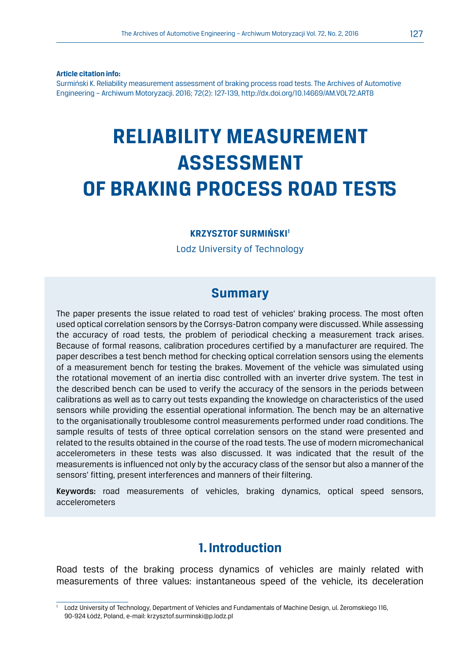**Article citation info:**

Surmiński K. Reliability measurement assessment of braking process road tests. The Archives of Automotive Engineering – Archiwum Motoryzacji. 2016; 72(2): 127-139, http://dx.doi.org/10.14669/AM.VOL72.ART8

# **RELIABILITY MEASUREMENT ASSESSMENT OF BRAKING PROCESS ROAD TESTS**

#### **KRZYSZTOF SURMIŃSKI1**

Lodz University of Technology

#### **Summary**

The paper presents the issue related to road test of vehicles' braking process. The most often used optical correlation sensors by the Corrsys-Datron company were discussed. While assessing the accuracy of road tests, the problem of periodical checking a measurement track arises. Because of formal reasons, calibration procedures certified by a manufacturer are required. The paper describes a test bench method for checking optical correlation sensors using the elements of a measurement bench for testing the brakes. Movement of the vehicle was simulated using the rotational movement of an inertia disc controlled with an inverter drive system. The test in the described bench can be used to verify the accuracy of the sensors in the periods between calibrations as well as to carry out tests expanding the knowledge on characteristics of the used sensors while providing the essential operational information. The bench may be an alternative to the organisationally troublesome control measurements performed under road conditions. The sample results of tests of three optical correlation sensors on the stand were presented and related to the results obtained in the course of the road tests. The use of modern micromechanical accelerometers in these tests was also discussed. It was indicated that the result of the measurements is influenced not only by the accuracy class of the sensor but also a manner of the sensors' fitting, present interferences and manners of their filtering.

Keywords: road measurements of vehicles, braking dynamics, optical speed sensors, accelerometers

#### **1. Introduction**

Road tests of the braking process dynamics of vehicles are mainly related with measurements of three values: instantaneous speed of the vehicle, its deceleration

<sup>1</sup> Lodz University of Technology, Department of Vehicles and Fundamentals of Machine Design, ul. Żeromskiego 116, 90-924 Łódź, Poland, e-mail: krzysztof.surminski@p.lodz.pl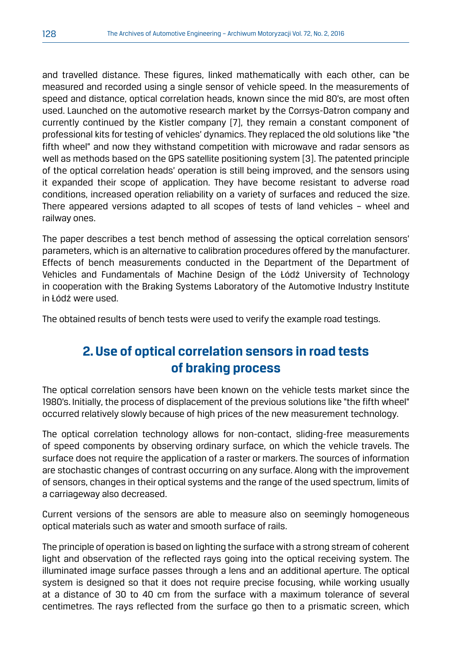and travelled distance. These figures, linked mathematically with each other, can be measured and recorded using a single sensor of vehicle speed. In the measurements of speed and distance, optical correlation heads, known since the mid 80's, are most often used. Launched on the automotive research market by the Corrsys-Datron company and currently continued by the Kistler company [7], they remain a constant component of professional kits for testing of vehicles' dynamics. They replaced the old solutions like "the fifth wheel" and now they withstand competition with microwave and radar sensors as well as methods based on the GPS satellite positioning system [3]. The patented principle of the optical correlation heads' operation is still being improved, and the sensors using it expanded their scope of application. They have become resistant to adverse road conditions, increased operation reliability on a variety of surfaces and reduced the size. There appeared versions adapted to all scopes of tests of land vehicles – wheel and railway ones.

The paper describes a test bench method of assessing the optical correlation sensors' parameters, which is an alternative to calibration procedures offered by the manufacturer. Effects of bench measurements conducted in the Department of the Department of Vehicles and Fundamentals of Machine Design of the Łódź University of Technology in cooperation with the Braking Systems Laboratory of the Automotive Industry Institute in Łódź were used.

The obtained results of bench tests were used to verify the example road testings.

## **2. Use of optical correlation sensors in road tests of braking process**

The optical correlation sensors have been known on the vehicle tests market since the 1980's. Initially, the process of displacement of the previous solutions like "the fifth wheel" occurred relatively slowly because of high prices of the new measurement technology.

The optical correlation technology allows for non-contact, sliding-free measurements of speed components by observing ordinary surface, on which the vehicle travels. The surface does not require the application of a raster or markers. The sources of information are stochastic changes of contrast occurring on any surface. Along with the improvement of sensors, changes in their optical systems and the range of the used spectrum, limits of a carriageway also decreased.

Current versions of the sensors are able to measure also on seemingly homogeneous optical materials such as water and smooth surface of rails.

The principle of operation is based on lighting the surface with a strong stream of coherent light and observation of the reflected rays going into the optical receiving system. The illuminated image surface passes through a lens and an additional aperture. The optical system is designed so that it does not require precise focusing, while working usually at a distance of 30 to 40 cm from the surface with a maximum tolerance of several centimetres. The rays reflected from the surface go then to a prismatic screen, which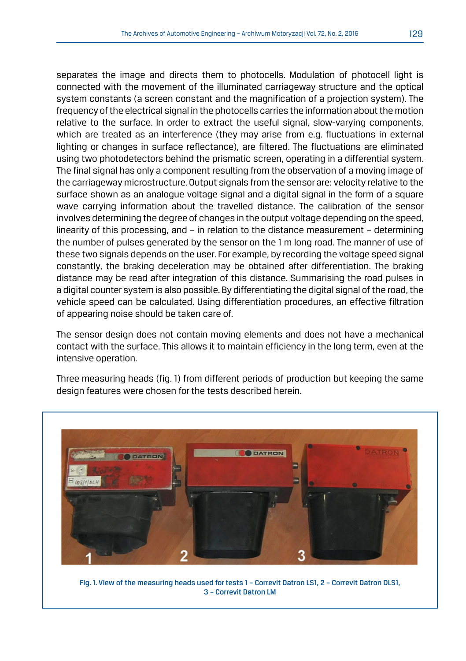separates the image and directs them to photocells. Modulation of photocell light is connected with the movement of the illuminated carriageway structure and the optical system constants (a screen constant and the magnification of a projection system). The frequency of the electrical signal in the photocells carries the information about the motion relative to the surface. In order to extract the useful signal, slow-varying components, which are treated as an interference (they may arise from e.g. fluctuations in external lighting or changes in surface reflectance), are filtered. The fluctuations are eliminated using two photodetectors behind the prismatic screen, operating in a differential system. The final signal has only a component resulting from the observation of a moving image of the carriageway microstructure. Output signals from the sensor are: velocity relative to the surface shown as an analogue voltage signal and a digital signal in the form of a square wave carrying information about the travelled distance. The calibration of the sensor involves determining the degree of changes in the output voltage depending on the speed, linearity of this processing, and – in relation to the distance measurement – determining the number of pulses generated by the sensor on the 1 m long road. The manner of use of these two signals depends on the user. For example, by recording the voltage speed signal constantly, the braking deceleration may be obtained after differentiation. The braking distance may be read after integration of this distance. Summarising the road pulses in a digital counter system is also possible. By differentiating the digital signal of the road, the vehicle speed can be calculated. Using differentiation procedures, an effective filtration of appearing noise should be taken care of.

The sensor design does not contain moving elements and does not have a mechanical contact with the surface. This allows it to maintain efficiency in the long term, even at the intensive operation.

Three measuring heads (fig. 1) from different periods of production but keeping the same design features were chosen for the tests described herein.



Fig. 1. View of the measuring heads used for tests 1 – Correvit Datron LS1, 2 – Correvit Datron DLS1, 3 – Correvit Datron LM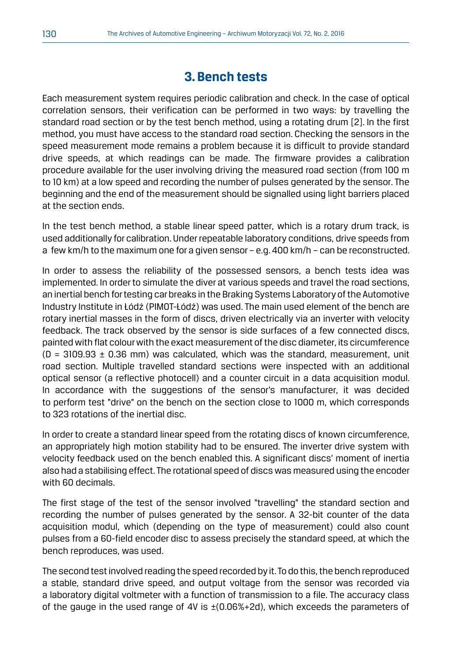#### **3. Bench tests**

Each measurement system requires periodic calibration and check. In the case of optical correlation sensors, their verification can be performed in two ways: by travelling the standard road section or by the test bench method, using a rotating drum [2]. In the first method, you must have access to the standard road section. Checking the sensors in the speed measurement mode remains a problem because it is difficult to provide standard drive speeds, at which readings can be made. The firmware provides a calibration procedure available for the user involving driving the measured road section (from 100 m to 10 km) at a low speed and recording the number of pulses generated by the sensor. The beginning and the end of the measurement should be signalled using light barriers placed at the section ends.

In the test bench method, a stable linear speed patter, which is a rotary drum track, is used additionally for calibration. Under repeatable laboratory conditions, drive speeds from a few km/h to the maximum one for a given sensor – e.g. 400 km/h – can be reconstructed.

In order to assess the reliability of the possessed sensors, a bench tests idea was implemented. In order to simulate the diver at various speeds and travel the road sections, an inertial bench for testing car breaks in the Braking Systems Laboratory of the Automotive Industry Institute in Łódź (PIMOT-Łódź) was used. The main used element of the bench are rotary inertial masses in the form of discs, driven electrically via an inverter with velocity feedback. The track observed by the sensor is side surfaces of a few connected discs, painted with flat colour with the exact measurement of the disc diameter, its circumference  $(D = 3109.93 \pm 0.36$  mm) was calculated, which was the standard, measurement, unit road section. Multiple travelled standard sections were inspected with an additional optical sensor (a reflective photocell) and a counter circuit in a data acquisition modul. In accordance with the suggestions of the sensor's manufacturer, it was decided to perform test "drive" on the bench on the section close to 1000 m, which corresponds to 323 rotations of the inertial disc.

In order to create a standard linear speed from the rotating discs of known circumference, an appropriately high motion stability had to be ensured. The inverter drive system with velocity feedback used on the bench enabled this. A significant discs' moment of inertia also had a stabilising effect. The rotational speed of discs was measured using the encoder with 60 decimals.

The first stage of the test of the sensor involved "travelling" the standard section and recording the number of pulses generated by the sensor. A 32-bit counter of the data acquisition modul, which (depending on the type of measurement) could also count pulses from a 60-field encoder disc to assess precisely the standard speed, at which the bench reproduces, was used.

The second test involved reading the speed recorded by it. To do this, the bench reproduced a stable, standard drive speed, and output voltage from the sensor was recorded via a laboratory digital voltmeter with a function of transmission to a file. The accuracy class of the gauge in the used range of 4V is  $\pm$ (0.06%+2d), which exceeds the parameters of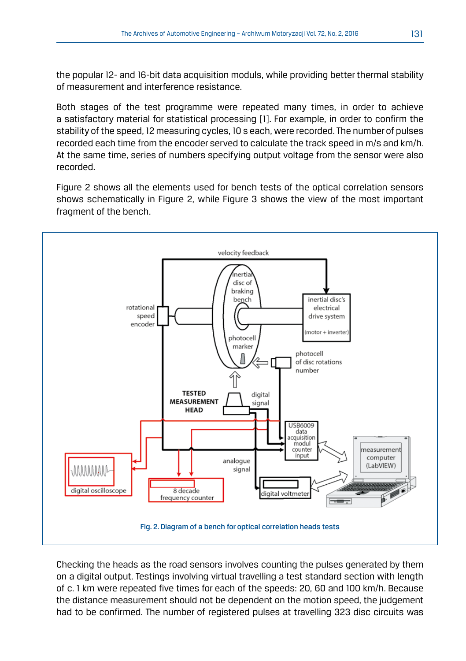the popular 12- and 16-bit data acquisition moduls, while providing better thermal stability of measurement and interference resistance.

Both stages of the test programme were repeated many times, in order to achieve a satisfactory material for statistical processing [1]. For example, in order to confirm the stability of the speed, 12 measuring cycles, 10 s each, were recorded. The number of pulses recorded each time from the encoder served to calculate the track speed in m/s and km/h. At the same time, series of numbers specifying output voltage from the sensor were also recorded.

Figure 2 shows all the elements used for bench tests of the optical correlation sensors shows schematically in Figure 2, while Figure 3 shows the view of the most important fragment of the bench.



Checking the heads as the road sensors involves counting the pulses generated by them on a digital output. Testings involving virtual travelling a test standard section with length of c. 1 km were repeated five times for each of the speeds: 20, 60 and 100 km/h. Because the distance measurement should not be dependent on the motion speed, the judgement had to be confirmed. The number of registered pulses at travelling 323 disc circuits was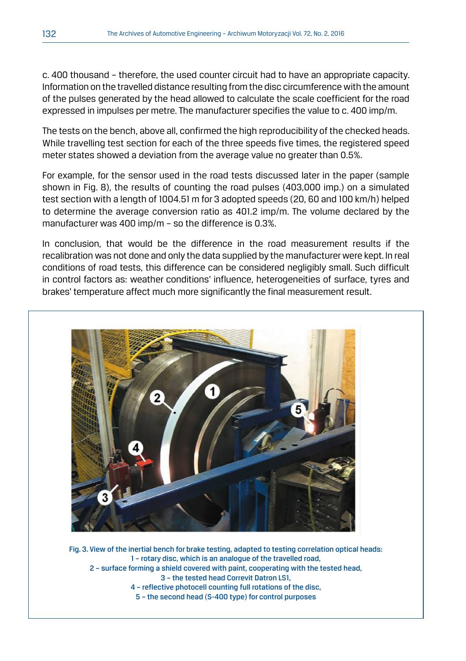c. 400 thousand – therefore, the used counter circuit had to have an appropriate capacity. Information on the travelled distance resulting from the disc circumference with the amount of the pulses generated by the head allowed to calculate the scale coefficient for the road expressed in impulses per metre. The manufacturer specifies the value to c. 400 imp/m.

The tests on the bench, above all, confirmed the high reproducibility of the checked heads. While travelling test section for each of the three speeds five times, the registered speed meter states showed a deviation from the average value no greater than 0.5%.

For example, for the sensor used in the road tests discussed later in the paper (sample shown in Fig. 8), the results of counting the road pulses (403,000 imp.) on a simulated test section with a length of 1004.51 m for 3 adopted speeds (20, 60 and 100 km/h) helped to determine the average conversion ratio as 401.2 imp/m. The volume declared by the manufacturer was 400 imp/m – so the difference is 0.3%.

In conclusion, that would be the difference in the road measurement results if the recalibration was not done and only the data supplied by the manufacturer were kept. In real conditions of road tests, this difference can be considered negligibly small. Such difficult in control factors as: weather conditions' influence, heterogeneities of surface, tyres and brakes' temperature affect much more significantly the final measurement result.



Fig. 3. View of the inertial bench for brake testing, adapted to testing correlation optical heads: 1 – rotary disc, which is an analogue of the travelled road, 2 – surface forming a shield covered with paint, cooperating with the tested head, 3 – the tested head Correvit Datron LS1, 4 – reflective photocell counting full rotations of the disc, 5 – the second head (S-400 type) for control purposes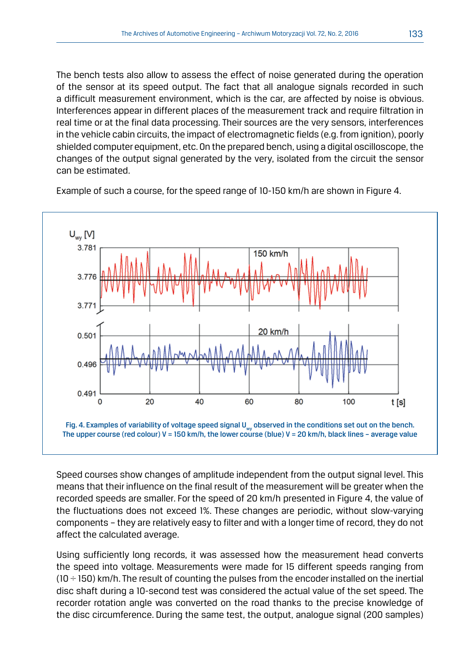The bench tests also allow to assess the effect of noise generated during the operation of the sensor at its speed output. The fact that all analogue signals recorded in such a difficult measurement environment, which is the car, are affected by noise is obvious. Interferences appear in different places of the measurement track and require filtration in real time or at the final data processing. Their sources are the very sensors, interferences in the vehicle cabin circuits, the impact of electromagnetic fields (e.g. from ignition), poorly shielded computer equipment, etc. On the prepared bench, using a digital oscilloscope, the changes of the output signal generated by the very, isolated from the circuit the sensor can be estimated.

Example of such a course, for the speed range of 10-150 km/h are shown in Figure 4.



Speed courses show changes of amplitude independent from the output signal level. This means that their influence on the final result of the measurement will be greater when the recorded speeds are smaller. For the speed of 20 km/h presented in Figure 4, the value of the fluctuations does not exceed 1%. These changes are periodic, without slow-varying components – they are relatively easy to filter and with a longer time of record, they do not affect the calculated average.

Using sufficiently long records, it was assessed how the measurement head converts the speed into voltage. Measurements were made for 15 different speeds ranging from  $(10 \div 150)$  km/h. The result of counting the pulses from the encoder installed on the inertial disc shaft during a 10-second test was considered the actual value of the set speed. The recorder rotation angle was converted on the road thanks to the precise knowledge of the disc circumference. During the same test, the output, analogue signal (200 samples)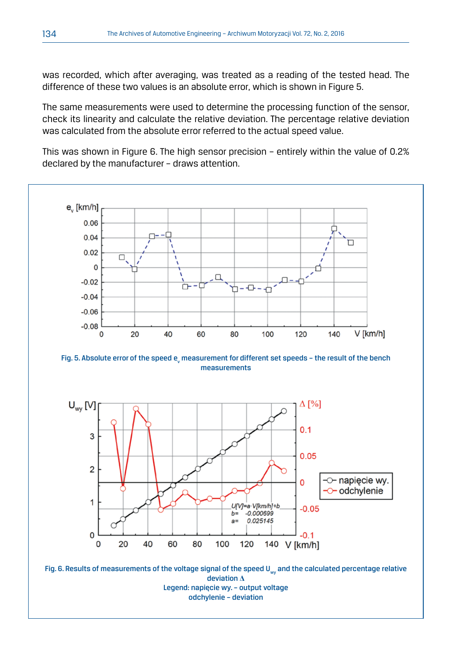was recorded, which after averaging, was treated as a reading of the tested head. The difference of these two values is an absolute error, which is shown in Figure 5.

The same measurements were used to determine the processing function of the sensor, check its linearity and calculate the relative deviation. The percentage relative deviation was calculated from the absolute error referred to the actual speed value.

This was shown in Figure 6. The high sensor precision – entirely within the value of 0.2% declared by the manufacturer – draws attention.



Legend: napięcie wy. – output voltage odchylenie – deviation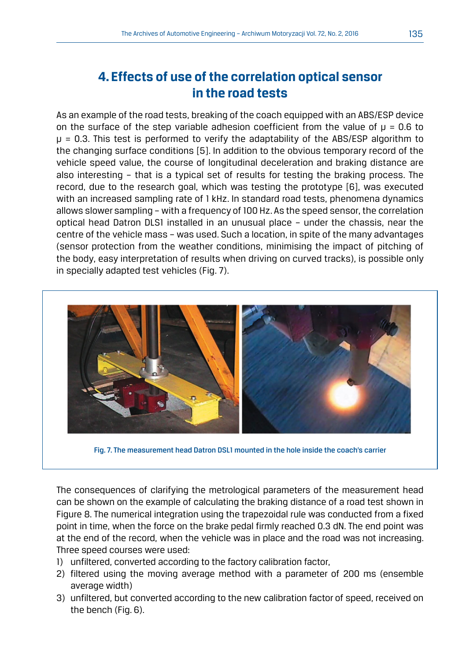## **4. Effects of use of the correlation optical sensor in the road tests**

As an example of the road tests, breaking of the coach equipped with an ABS/ESP device on the surface of the step variable adhesion coefficient from the value of  $\mu$  = 0.6 to  $\mu$  = 0.3. This test is performed to verify the adaptability of the ABS/ESP algorithm to the changing surface conditions [5]. In addition to the obvious temporary record of the vehicle speed value, the course of longitudinal deceleration and braking distance are also interesting – that is a typical set of results for testing the braking process. The record, due to the research goal, which was testing the prototype [6], was executed with an increased sampling rate of 1 kHz. In standard road tests, phenomena dynamics allows slower sampling – with a frequency of 100 Hz. As the speed sensor, the correlation optical head Datron DLS1 installed in an unusual place – under the chassis, near the centre of the vehicle mass – was used. Such a location, in spite of the many advantages (sensor protection from the weather conditions, minimising the impact of pitching of the body, easy interpretation of results when driving on curved tracks), is possible only in specially adapted test vehicles (Fig. 7).



Fig. 7. The measurement head Datron DSL1 mounted in the hole inside the coach's carrier

The consequences of clarifying the metrological parameters of the measurement head can be shown on the example of calculating the braking distance of a road test shown in Figure 8. The numerical integration using the trapezoidal rule was conducted from a fixed point in time, when the force on the brake pedal firmly reached 0.3 dN. The end point was at the end of the record, when the vehicle was in place and the road was not increasing. Three speed courses were used:

- 1) unfiltered, converted according to the factory calibration factor,
- 2) filtered using the moving average method with a parameter of 200 ms (ensemble average width)
- 3) unfiltered, but converted according to the new calibration factor of speed, received on the bench (Fig. 6).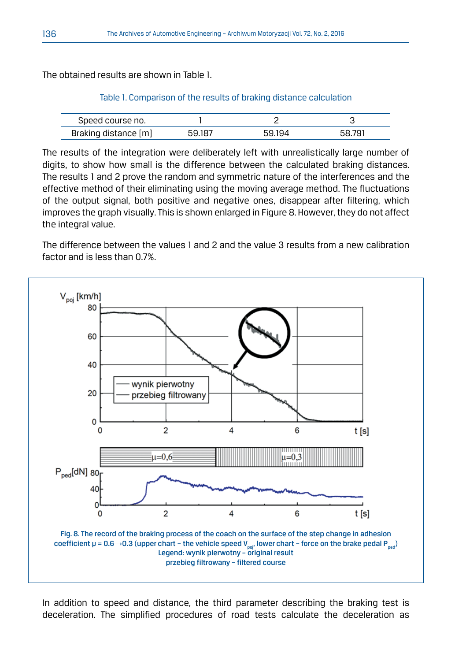The obtained results are shown in Table 1.

| Speed course no.                                |  |  |
|-------------------------------------------------|--|--|
| <b>Braking</b><br>$~\mathrm{m}$<br>, distance v |  |  |

The results of the integration were deliberately left with unrealistically large number of digits, to show how small is the difference between the calculated braking distances. The results 1 and 2 prove the random and symmetric nature of the interferences and the effective method of their eliminating using the moving average method. The fluctuations of the output signal, both positive and negative ones, disappear after filtering, which improves the graph visually. This is shown enlarged in Figure 8. However, they do not affect the integral value.

The difference between the values 1 and 2 and the value 3 results from a new calibration factor and is less than 0.7%.



In addition to speed and distance, the third parameter describing the braking test is deceleration. The simplified procedures of road tests calculate the deceleration as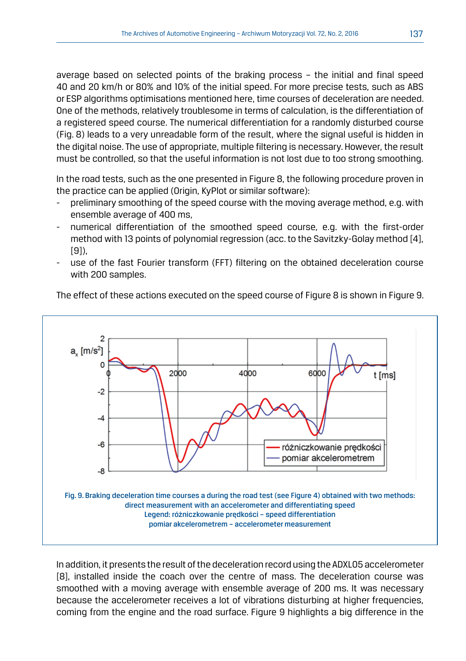average based on selected points of the braking process – the initial and final speed 40 and 20 km/h or 80% and 10% of the initial speed. For more precise tests, such as ABS or ESP algorithms optimisations mentioned here, time courses of deceleration are needed. One of the methods, relatively troublesome in terms of calculation, is the differentiation of a registered speed course. The numerical differentiation for a randomly disturbed course (Fig. 8) leads to a very unreadable form of the result, where the signal useful is hidden in the digital noise. The use of appropriate, multiple filtering is necessary. However, the result must be controlled, so that the useful information is not lost due to too strong smoothing.

In the road tests, such as the one presented in Figure 8, the following procedure proven in the practice can be applied (Origin, KyPlot or similar software):

- preliminary smoothing of the speed course with the moving average method, e.g. with ensemble average of 400 ms,
- numerical differentiation of the smoothed speed course, e.g. with the first-order method with 13 points of polynomial regression (acc. to the Savitzky-Golay method [4], [9]),
- use of the fast Fourier transform (FFT) filtering on the obtained deceleration course with 200 samples.

The effect of these actions executed on the speed course of Figure 8 is shown in Figure 9.



In addition, it presents the result of the deceleration record using the ADXL05 accelerometer [8], installed inside the coach over the centre of mass. The deceleration course was smoothed with a moving average with ensemble average of 200 ms. It was necessary because the accelerometer receives a lot of vibrations disturbing at higher frequencies, coming from the engine and the road surface. Figure 9 highlights a big difference in the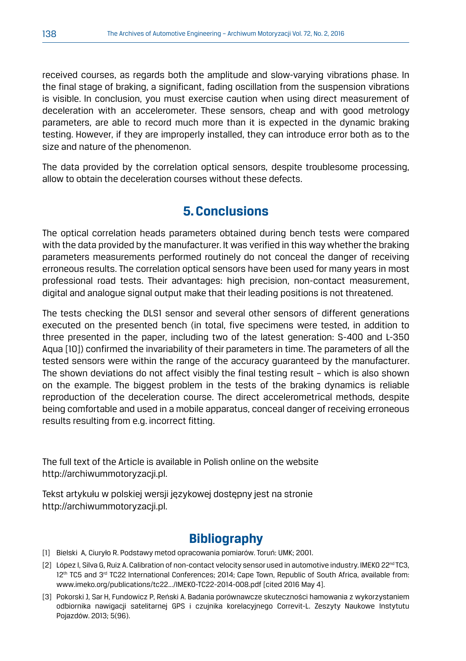received courses, as regards both the amplitude and slow-varying vibrations phase. In the final stage of braking, a significant, fading oscillation from the suspension vibrations is visible. In conclusion, you must exercise caution when using direct measurement of deceleration with an accelerometer. These sensors, cheap and with good metrology parameters, are able to record much more than it is expected in the dynamic braking testing. However, if they are improperly installed, they can introduce error both as to the size and nature of the phenomenon.

The data provided by the correlation optical sensors, despite troublesome processing, allow to obtain the deceleration courses without these defects.

#### **5. Conclusions**

The optical correlation heads parameters obtained during bench tests were compared with the data provided by the manufacturer. It was verified in this way whether the braking parameters measurements performed routinely do not conceal the danger of receiving erroneous results. The correlation optical sensors have been used for many years in most professional road tests. Their advantages: high precision, non-contact measurement, digital and analogue signal output make that their leading positions is not threatened.

The tests checking the DLS1 sensor and several other sensors of different generations executed on the presented bench (in total, five specimens were tested, in addition to three presented in the paper, including two of the latest generation: S-400 and L-350 Aqua [10]) confirmed the invariability of their parameters in time. The parameters of all the tested sensors were within the range of the accuracy guaranteed by the manufacturer. The shown deviations do not affect visibly the final testing result – which is also shown on the example. The biggest problem in the tests of the braking dynamics is reliable reproduction of the deceleration course. The direct accelerometrical methods, despite being comfortable and used in a mobile apparatus, conceal danger of receiving erroneous results resulting from e.g. incorrect fitting.

The full text of the Article is available in Polish online on the website http://archiwummotoryzacji.pl.

Tekst artykułu w polskiej wersji językowej dostępny jest na stronie http://archiwummotoryzacji.pl.

### **Bibliography**

- [1] Bielski A, Ciuryło R. Podstawy metod opracowania pomiarów. Toruń: UMK; 2001.
- [2] López I, Silva G, Ruiz A. Calibration of non-contact velocity sensor used in automotive industry. IMEKO 22<sup>nd</sup> TC3, 12<sup>th</sup> TC5 and 3<sup>rd</sup> TC22 International Conferences; 2014; Cape Town, Republic of South Africa, available from: www.imeko.org/publications/tc22.../IMEKO-TC22-2014-008.pdf [cited 2016 May 4].
- [3] Pokorski J, Sar H, Fundowicz P, Reński A. Badania porównawcze skuteczności hamowania z wykorzystaniem odbiornika nawigacji satelitarnej GPS i czujnika korelacyjnego Correvit-L. Zeszyty Naukowe Instytutu Pojazdów. 2013; 5(96).